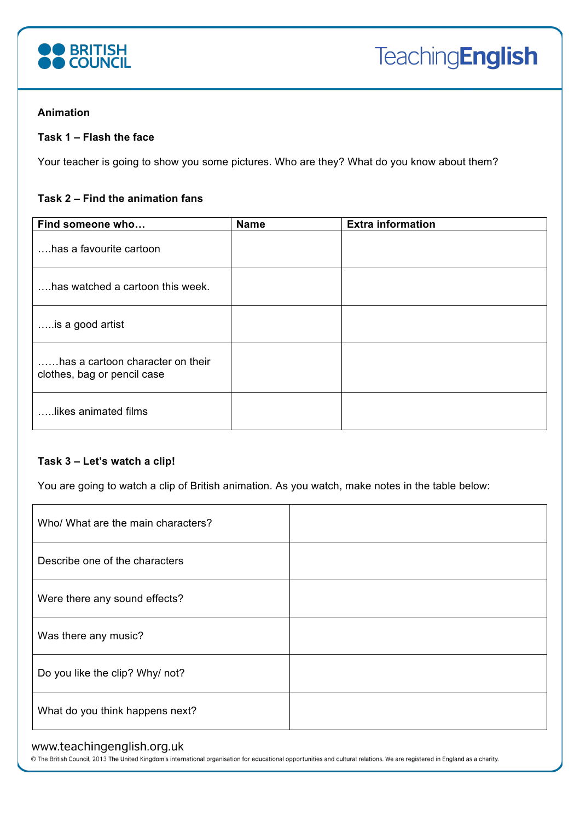

# **Animation**

## **Task 1 – Flash the face**

Your teacher is going to show you some pictures. Who are they? What do you know about them?

# **Task 2 – Find the animation fans**

| Find someone who                                                | <b>Name</b> | <b>Extra information</b> |
|-----------------------------------------------------------------|-------------|--------------------------|
| has a favourite cartoon                                         |             |                          |
| , has watched a cartoon this week.                              |             |                          |
| is a good artist                                                |             |                          |
| has a cartoon character on their<br>clothes, bag or pencil case |             |                          |
| likes animated films                                            |             |                          |

## **Task 3 – Let's watch a clip!**

You are going to watch a clip of British animation. As you watch, make notes in the table below:

| Who/ What are the main characters? |  |
|------------------------------------|--|
| Describe one of the characters     |  |
| Were there any sound effects?      |  |
| Was there any music?               |  |
| Do you like the clip? Why/ not?    |  |
| What do you think happens next?    |  |

# www.teachingenglish.org.uk

© The British Council, 2013 The United Kingdom's international organisation for educational opportunities and cultural relations. We are registered in England as a charity.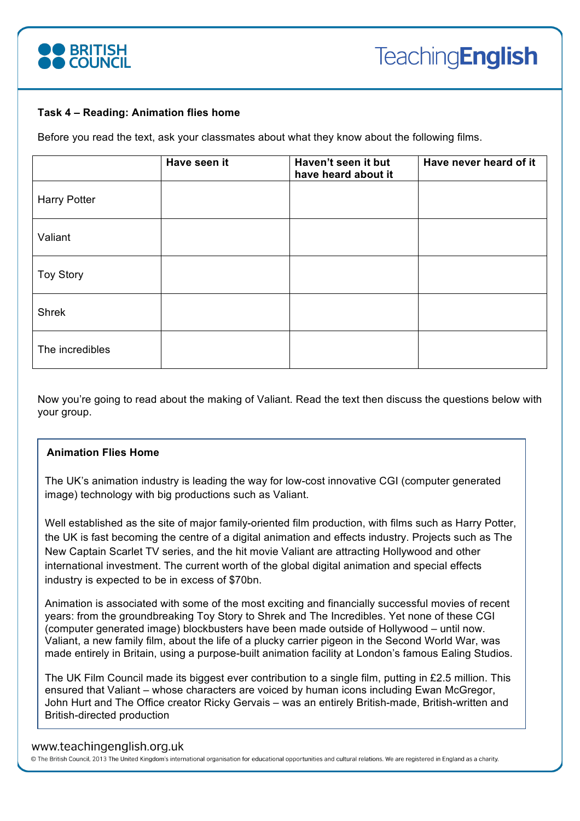

#### **Task 4 – Reading: Animation flies home**

Before you read the text, ask your classmates about what they know about the following films.

|                     | Have seen it | Haven't seen it but<br>have heard about it | Have never heard of it |
|---------------------|--------------|--------------------------------------------|------------------------|
| <b>Harry Potter</b> |              |                                            |                        |
| Valiant             |              |                                            |                        |
| <b>Toy Story</b>    |              |                                            |                        |
| Shrek               |              |                                            |                        |
| The incredibles     |              |                                            |                        |

Now you're going to read about the making of Valiant. Read the text then discuss the questions below with your group.

## **Animation Flies Home**

The UK's animation industry is leading the way for low-cost innovative CGI (computer generated image) technology with big productions such as Valiant.

Well established as the site of major family-oriented film production, with films such as Harry Potter, the UK is fast becoming the centre of a digital animation and effects industry. Projects such as The New Captain Scarlet TV series, and the hit movie Valiant are attracting Hollywood and other international investment. The current worth of the global digital animation and special effects industry is expected to be in excess of \$70bn.

Animation is associated with some of the most exciting and financially successful movies of recent years: from the groundbreaking Toy Story to Shrek and The Incredibles. Yet none of these CGI (computer generated image) blockbusters have been made outside of Hollywood – until now. Valiant, a new family film, about the life of a plucky carrier pigeon in the Second World War, was made entirely in Britain, using a purpose-built animation facility at London's famous Ealing Studios.

The UK Film Council made its biggest ever contribution to a single film, putting in £2.5 million. This ensured that Valiant – whose characters are voiced by human icons including Ewan McGregor, John Hurt and The Office creator Ricky Gervais – was an entirely British-made, British-written and British-directed production

## www.teachingenglish.org.uk

© The British Council, 2013 The United Kingdom's international organisation for educational opportunities and cultural relations. We are registered in England as a charity.